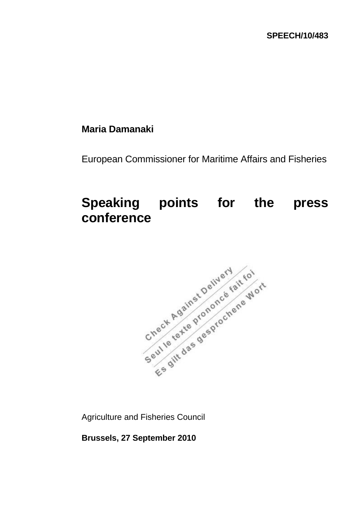## **Maria Damanaki**

European Commissioner for Maritime Affairs and Fisheries

## **Speaking points for the press conference**



Agriculture and Fisheries Council

**Brussels, 27 September 2010**